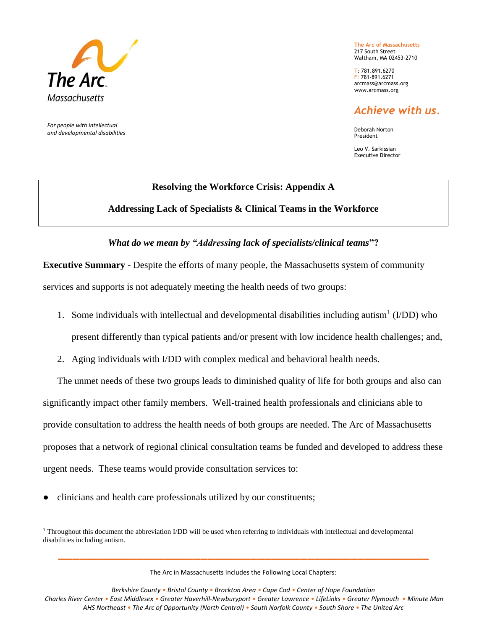

*For people with intellectual and developmental disabilities* **The Arc of Massachusetts** 217 South Street Waltham, MA 02453-2710

T: 781.891.6270 F: 781-891.6271 [arcmass@arcmass.org](mailto:arcmass@arcmass.org) [www.arcmass.org](http://www.arcmass.org/)

# *Achieve with us.*

Deborah Norton President

Leo V. Sarkissian Executive Director

## **Resolving the Workforce Crisis: Appendix A**

### **Addressing Lack of Specialists & Clinical Teams in the Workforce**

### *What do we mean by "Addressing lack of specialists/clinical teams***"?**

**Executive Summary** - Despite the efforts of many people, the Massachusetts system of community

services and supports is not adequately meeting the health needs of two groups:

- 1. Some individuals with intellectual and developmental disabilities including autism<sup>1</sup> ( $I$ /DD) who present differently than typical patients and/or present with low incidence health challenges; and,
- 2. Aging individuals with I/DD with complex medical and behavioral health needs.

The unmet needs of these two groups leads to diminished quality of life for both groups and also can significantly impact other family members. Well-trained health professionals and clinicians able to provide consultation to address the health needs of both groups are needed. The Arc of Massachusetts proposes that a network of regional clinical consultation teams be funded and developed to address these urgent needs. These teams would provide consultation services to:

clinicians and health care professionals utilized by our constituents;

The Arc in Massachusetts Includes the Following Local Chapters:

**\_\_\_\_\_\_\_\_\_\_\_\_\_\_\_\_\_\_\_\_\_\_\_\_\_\_\_\_\_\_\_\_\_\_\_\_\_\_\_\_\_\_\_\_\_\_\_\_\_\_\_\_**

*Berkshire County • Bristol County • Brockton Area • Cape Cod • Center of Hope Foundation Charles River Center • East Middlesex • Greater Haverhill-Newburyport • Greater Lawrence • LifeLinks • Greater Plymouth • Minute Man AHS Northeast • The Arc of Opportunity (North Central) • South Norfolk County • South Shore • The United Arc*

 $\overline{a}$  $1$  Throughout this document the abbreviation I/DD will be used when referring to individuals with intellectual and developmental disabilities including autism.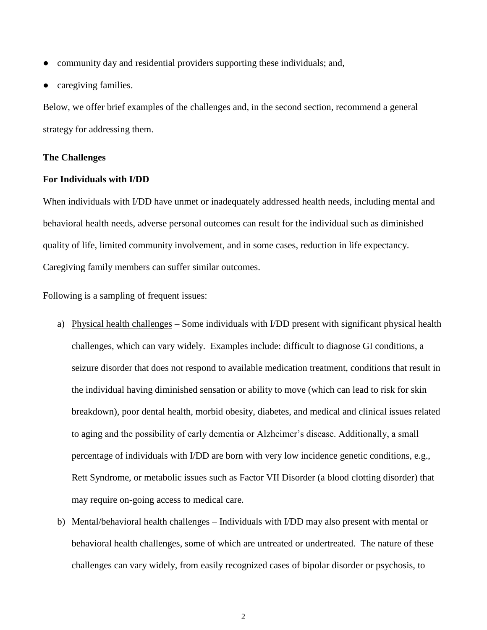- community day and residential providers supporting these individuals; and,
- caregiving families.

Below, we offer brief examples of the challenges and, in the second section, recommend a general strategy for addressing them.

#### **The Challenges**

#### **For Individuals with I/DD**

When individuals with I/DD have unmet or inadequately addressed health needs, including mental and behavioral health needs, adverse personal outcomes can result for the individual such as diminished quality of life, limited community involvement, and in some cases, reduction in life expectancy. Caregiving family members can suffer similar outcomes.

Following is a sampling of frequent issues:

- a) Physical health challenges Some individuals with I/DD present with significant physical health challenges, which can vary widely. Examples include: difficult to diagnose GI conditions, a seizure disorder that does not respond to available medication treatment, conditions that result in the individual having diminished sensation or ability to move (which can lead to risk for skin breakdown), poor dental health, morbid obesity, diabetes, and medical and clinical issues related to aging and the possibility of early dementia or Alzheimer's disease. Additionally, a small percentage of individuals with I/DD are born with very low incidence genetic conditions, e.g., Rett Syndrome, or metabolic issues such as Factor VII Disorder (a blood clotting disorder) that may require on-going access to medical care.
- b) Mental/behavioral health challenges Individuals with I/DD may also present with mental or behavioral health challenges, some of which are untreated or undertreated. The nature of these challenges can vary widely, from easily recognized cases of bipolar disorder or psychosis, to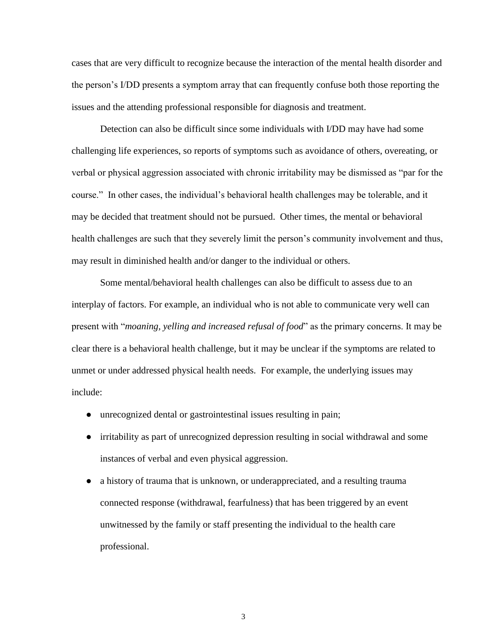cases that are very difficult to recognize because the interaction of the mental health disorder and the person's I/DD presents a symptom array that can frequently confuse both those reporting the issues and the attending professional responsible for diagnosis and treatment.

Detection can also be difficult since some individuals with I/DD may have had some challenging life experiences, so reports of symptoms such as avoidance of others, overeating, or verbal or physical aggression associated with chronic irritability may be dismissed as "par for the course." In other cases, the individual's behavioral health challenges may be tolerable, and it may be decided that treatment should not be pursued. Other times, the mental or behavioral health challenges are such that they severely limit the person's community involvement and thus, may result in diminished health and/or danger to the individual or others.

Some mental/behavioral health challenges can also be difficult to assess due to an interplay of factors. For example, an individual who is not able to communicate very well can present with "*moaning, yelling and increased refusal of food*" as the primary concerns. It may be clear there is a behavioral health challenge, but it may be unclear if the symptoms are related to unmet or under addressed physical health needs. For example, the underlying issues may include:

- unrecognized dental or gastrointestinal issues resulting in pain;
- irritability as part of unrecognized depression resulting in social withdrawal and some instances of verbal and even physical aggression.
- a history of trauma that is unknown, or underappreciated, and a resulting trauma connected response (withdrawal, fearfulness) that has been triggered by an event unwitnessed by the family or staff presenting the individual to the health care professional.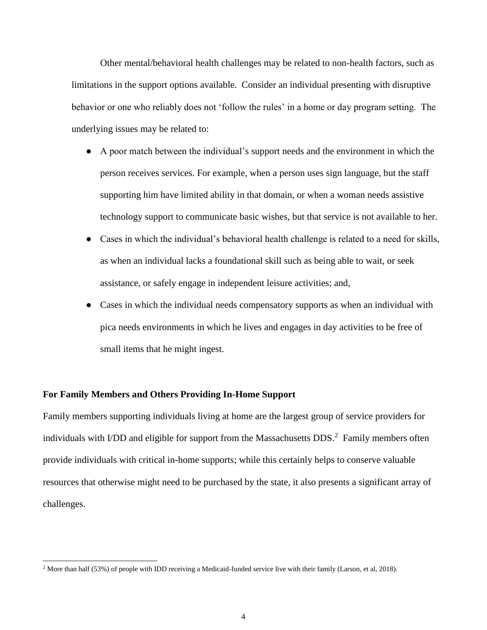Other mental/behavioral health challenges may be related to non-health factors, such as limitations in the support options available. Consider an individual presenting with disruptive behavior or one who reliably does not 'follow the rules' in a home or day program setting. The underlying issues may be related to:

- A poor match between the individual's support needs and the environment in which the person receives services. For example, when a person uses sign language, but the staff supporting him have limited ability in that domain, or when a woman needs assistive technology support to communicate basic wishes, but that service is not available to her.
- Cases in which the individual's behavioral health challenge is related to a need for skills, as when an individual lacks a foundational skill such as being able to wait, or seek assistance, or safely engage in independent leisure activities; and,
- Cases in which the individual needs compensatory supports as when an individual with pica needs environments in which he lives and engages in day activities to be free of small items that he might ingest.

#### **For Family Members and Others Providing In-Home Support**

 $\overline{a}$ 

Family members supporting individuals living at home are the largest group of service providers for individuals with I/DD and eligible for support from the Massachusetts  $DDS<sup>2</sup>$  Family members often provide individuals with critical in-home supports; while this certainly helps to conserve valuable resources that otherwise might need to be purchased by the state, it also presents a significant array of challenges.

<sup>2</sup> More than half (53%) of people with IDD receiving a Medicaid-funded service live with their family (Larson, et al, 2018).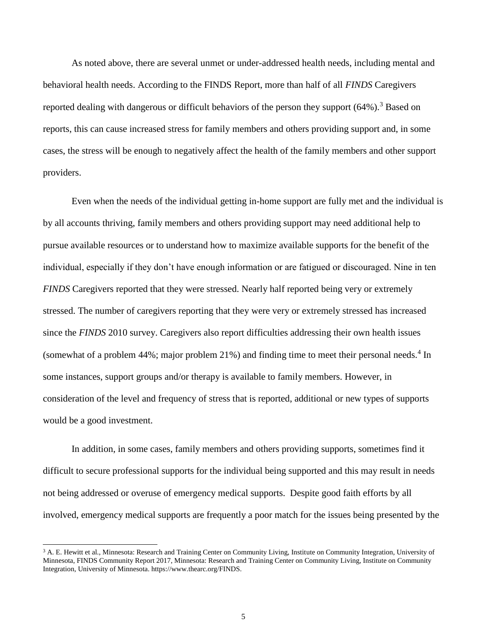As noted above, there are several unmet or under-addressed health needs, including mental and behavioral health needs. According to the FINDS Report, more than half of all *FINDS* Caregivers reported dealing with dangerous or difficult behaviors of the person they support  $(64\%)$ .<sup>3</sup> Based on reports, this can cause increased stress for family members and others providing support and, in some cases, the stress will be enough to negatively affect the health of the family members and other support providers.

Even when the needs of the individual getting in-home support are fully met and the individual is by all accounts thriving, family members and others providing support may need additional help to pursue available resources or to understand how to maximize available supports for the benefit of the individual, especially if they don't have enough information or are fatigued or discouraged. Nine in ten *FINDS* Caregivers reported that they were stressed. Nearly half reported being very or extremely stressed. The number of caregivers reporting that they were very or extremely stressed has increased since the *FINDS* 2010 survey. Caregivers also report difficulties addressing their own health issues (somewhat of a problem  $44\%$ ; major problem  $21\%$ ) and finding time to meet their personal needs.<sup>4</sup> In some instances, support groups and/or therapy is available to family members. However, in consideration of the level and frequency of stress that is reported, additional or new types of supports would be a good investment.

In addition, in some cases, family members and others providing supports, sometimes find it difficult to secure professional supports for the individual being supported and this may result in needs not being addressed or overuse of emergency medical supports. Despite good faith efforts by all involved, emergency medical supports are frequently a poor match for the issues being presented by the

l

<sup>&</sup>lt;sup>3</sup> A. E. Hewitt et al., Minnesota: Research and Training Center on Community Living, Institute on Community Integration, University of Minnesota, FINDS Community Report 2017, Minnesota: Research and Training Center on Community Living, Institute on Community Integration, University of Minnesota. https://www.thearc.org/FINDS.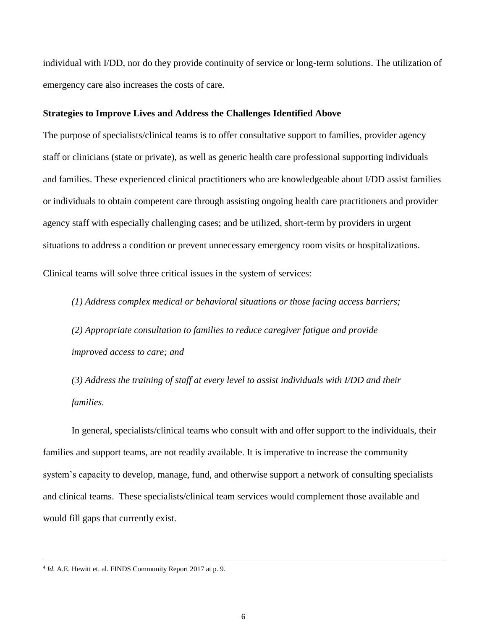individual with I/DD, nor do they provide continuity of service or long-term solutions. The utilization of emergency care also increases the costs of care.

#### **Strategies to Improve Lives and Address the Challenges Identified Above**

The purpose of specialists/clinical teams is to offer consultative support to families, provider agency staff or clinicians (state or private), as well as generic health care professional supporting individuals and families. These experienced clinical practitioners who are knowledgeable about I/DD assist families or individuals to obtain competent care through assisting ongoing health care practitioners and provider agency staff with especially challenging cases; and be utilized, short-term by providers in urgent situations to address a condition or prevent unnecessary emergency room visits or hospitalizations.

Clinical teams will solve three critical issues in the system of services:

*(1) Address complex medical or behavioral situations or those facing access barriers;* 

*(2) Appropriate consultation to families to reduce caregiver fatigue and provide improved access to care; and* 

*(3) Address the training of staff at every level to assist individuals with I/DD and their families.* 

In general, specialists/clinical teams who consult with and offer support to the individuals, their families and support teams, are not readily available. It is imperative to increase the community system's capacity to develop, manage, fund, and otherwise support a network of consulting specialists and clinical teams. These specialists/clinical team services would complement those available and would fill gaps that currently exist.

 $\overline{a}$ 

<sup>4</sup> *Id.* A.E. Hewitt et. al. FINDS Community Report 2017 at p. 9.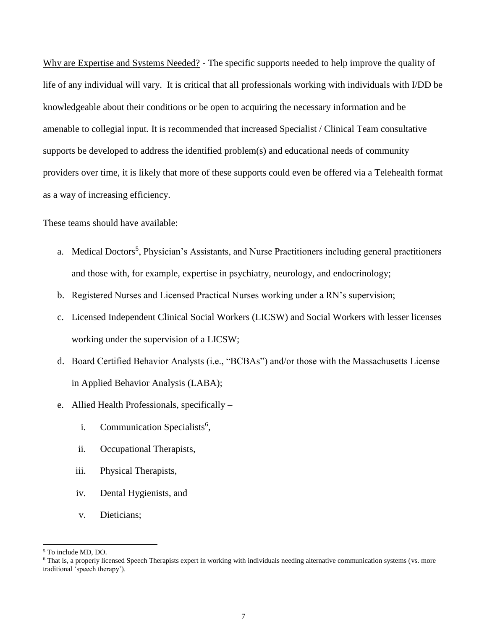Why are Expertise and Systems Needed? - The specific supports needed to help improve the quality of life of any individual will vary. It is critical that all professionals working with individuals with I/DD be knowledgeable about their conditions or be open to acquiring the necessary information and be amenable to collegial input. It is recommended that increased Specialist / Clinical Team consultative supports be developed to address the identified problem(s) and educational needs of community providers over time, it is likely that more of these supports could even be offered via a Telehealth format as a way of increasing efficiency.

These teams should have available:

- a. Medical Doctors<sup>5</sup>, Physician's Assistants, and Nurse Practitioners including general practitioners and those with, for example, expertise in psychiatry, neurology, and endocrinology;
- b. Registered Nurses and Licensed Practical Nurses working under a RN's supervision;
- c. Licensed Independent Clinical Social Workers (LICSW) and Social Workers with lesser licenses working under the supervision of a LICSW;
- d. Board Certified Behavior Analysts (i.e., "BCBAs") and/or those with the Massachusetts License in Applied Behavior Analysis (LABA);
- e. Allied Health Professionals, specifically
	- i. Communication Specialists<sup>6</sup>,
	- ii. Occupational Therapists,
	- iii. Physical Therapists,
	- iv. Dental Hygienists, and
	- v. Dieticians;

l

<sup>5</sup> To include MD, DO.

<sup>&</sup>lt;sup>6</sup> That is, a properly licensed Speech Therapists expert in working with individuals needing alternative communication systems (vs. more traditional 'speech therapy').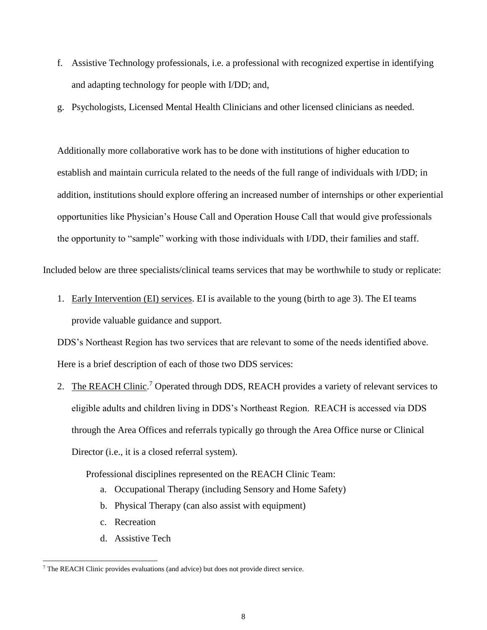- f. Assistive Technology professionals, i.e. a professional with recognized expertise in identifying and adapting technology for people with I/DD; and,
- g. Psychologists, Licensed Mental Health Clinicians and other licensed clinicians as needed.

Additionally more collaborative work has to be done with institutions of higher education to establish and maintain curricula related to the needs of the full range of individuals with I/DD; in addition, institutions should explore offering an increased number of internships or other experiential opportunities like Physician's House Call and Operation House Call that would give professionals the opportunity to "sample" working with those individuals with I/DD, their families and staff.

Included below are three specialists/clinical teams services that may be worthwhile to study or replicate:

1. Early Intervention (EI) services. EI is available to the young (birth to age 3). The EI teams provide valuable guidance and support.

DDS's Northeast Region has two services that are relevant to some of the needs identified above. Here is a brief description of each of those two DDS services:

2. The REACH Clinic.<sup>7</sup> Operated through DDS, REACH provides a variety of relevant services to eligible adults and children living in DDS's Northeast Region. REACH is accessed via DDS through the Area Offices and referrals typically go through the Area Office nurse or Clinical Director (i.e., it is a closed referral system).

Professional disciplines represented on the REACH Clinic Team:

- a. Occupational Therapy (including Sensory and Home Safety)
- b. Physical Therapy (can also assist with equipment)
- c. Recreation

 $\overline{a}$ 

d. Assistive Tech

<sup>7</sup> The REACH Clinic provides evaluations (and advice) but does not provide direct service.